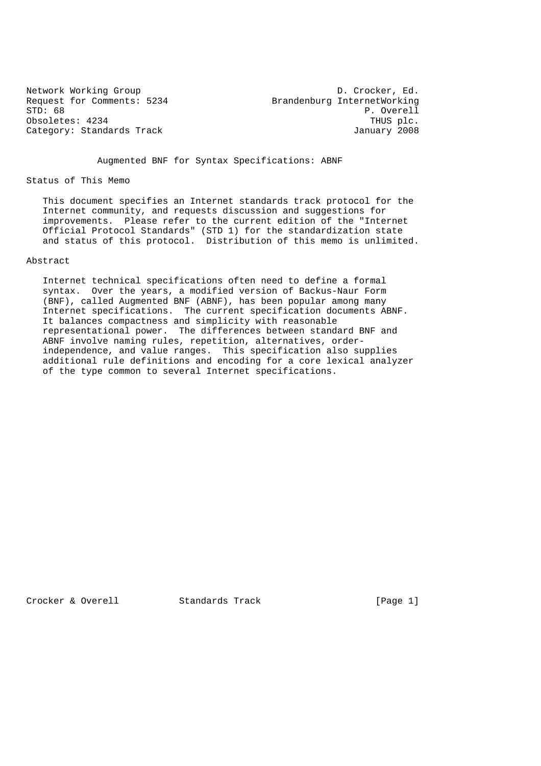Category: Standards Track

Network Working Group and D. Crocker, Ed. Request for Comments: 5234 Brandenburg InternetWorking STD: 68 P. Overell Obsoletes: 4234 THUS plc.<br>Category: Standards Track Category: Standards Track

Augmented BNF for Syntax Specifications: ABNF

Status of This Memo

 This document specifies an Internet standards track protocol for the Internet community, and requests discussion and suggestions for improvements. Please refer to the current edition of the "Internet Official Protocol Standards" (STD 1) for the standardization state and status of this protocol. Distribution of this memo is unlimited.

# Abstract

 Internet technical specifications often need to define a formal syntax. Over the years, a modified version of Backus-Naur Form (BNF), called Augmented BNF (ABNF), has been popular among many Internet specifications. The current specification documents ABNF. It balances compactness and simplicity with reasonable representational power. The differences between standard BNF and ABNF involve naming rules, repetition, alternatives, order independence, and value ranges. This specification also supplies additional rule definitions and encoding for a core lexical analyzer of the type common to several Internet specifications.

Crocker & Overell Standards Track [Page 1]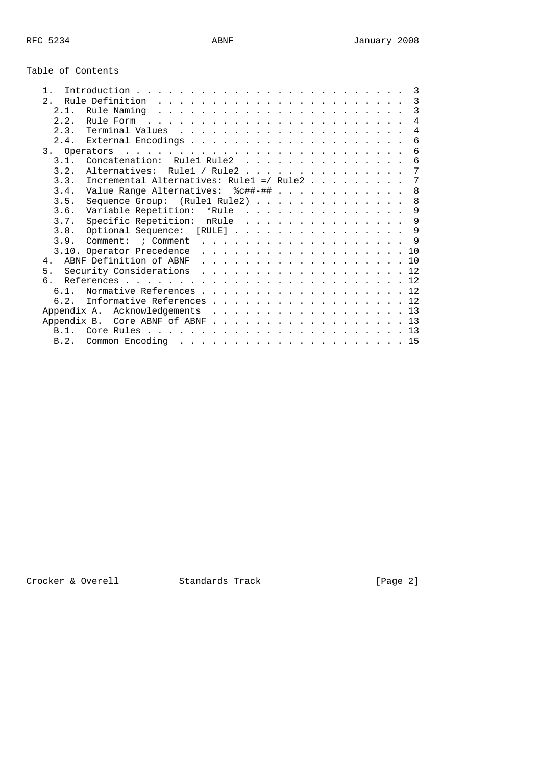| Table of Contents |  |
|-------------------|--|
|-------------------|--|

| $1$ .       |                                                                                                                                                                                                                                                                                                                                                                                                                                                                                                                                         |  |  |  |  | 3            |
|-------------|-----------------------------------------------------------------------------------------------------------------------------------------------------------------------------------------------------------------------------------------------------------------------------------------------------------------------------------------------------------------------------------------------------------------------------------------------------------------------------------------------------------------------------------------|--|--|--|--|--------------|
|             |                                                                                                                                                                                                                                                                                                                                                                                                                                                                                                                                         |  |  |  |  |              |
| 2.          | Rule Definition                                                                                                                                                                                                                                                                                                                                                                                                                                                                                                                         |  |  |  |  | 3            |
| 2.1.        |                                                                                                                                                                                                                                                                                                                                                                                                                                                                                                                                         |  |  |  |  | 3            |
| 2.2.        | Rule Form                                                                                                                                                                                                                                                                                                                                                                                                                                                                                                                               |  |  |  |  | 4            |
| 2.3.        |                                                                                                                                                                                                                                                                                                                                                                                                                                                                                                                                         |  |  |  |  | 4            |
| 2.4.        |                                                                                                                                                                                                                                                                                                                                                                                                                                                                                                                                         |  |  |  |  | 6            |
| 3.          | Operators                                                                                                                                                                                                                                                                                                                                                                                                                                                                                                                               |  |  |  |  | 6            |
| 3.1.        | Concatenation: Rule1 Rule2                                                                                                                                                                                                                                                                                                                                                                                                                                                                                                              |  |  |  |  | 6            |
| 3.2.        | Alternatives:<br>Rule1 / Rule2                                                                                                                                                                                                                                                                                                                                                                                                                                                                                                          |  |  |  |  | 7            |
| 3.3.        | Incremental Alternatives: Rule1 =/ Rule2                                                                                                                                                                                                                                                                                                                                                                                                                                                                                                |  |  |  |  | 7            |
| 3.4.        | Value Range Alternatives: %c##-##                                                                                                                                                                                                                                                                                                                                                                                                                                                                                                       |  |  |  |  | 8            |
| 3.5.        | Sequence Group: (Rule1 Rule2)                                                                                                                                                                                                                                                                                                                                                                                                                                                                                                           |  |  |  |  | 8            |
| 3.6.        | Variable Repetition: *Rule                                                                                                                                                                                                                                                                                                                                                                                                                                                                                                              |  |  |  |  | 9            |
|             |                                                                                                                                                                                                                                                                                                                                                                                                                                                                                                                                         |  |  |  |  |              |
| 3.7.        | Specific Repetition:<br>nRule                                                                                                                                                                                                                                                                                                                                                                                                                                                                                                           |  |  |  |  | 9            |
| 3.8.        | Optional Sequence: [RULE]                                                                                                                                                                                                                                                                                                                                                                                                                                                                                                               |  |  |  |  | $\mathsf{Q}$ |
| 3.9.        | Comment:<br>; Comment<br>.                                                                                                                                                                                                                                                                                                                                                                                                                                                                                                              |  |  |  |  | 9            |
|             | 3.10. Operator Precedence                                                                                                                                                                                                                                                                                                                                                                                                                                                                                                               |  |  |  |  | 10           |
| $4 \cdot$   | ABNF Definition of ABNF<br>.                                                                                                                                                                                                                                                                                                                                                                                                                                                                                                            |  |  |  |  | 10           |
| 5.          | Security Considerations<br>$\mathbf{r} = \mathbf{r} \times \mathbf{r} \times \mathbf{r} \times \mathbf{r} \times \mathbf{r} \times \mathbf{r} \times \mathbf{r} \times \mathbf{r} \times \mathbf{r} \times \mathbf{r} \times \mathbf{r} \times \mathbf{r} \times \mathbf{r} \times \mathbf{r} \times \mathbf{r} \times \mathbf{r} \times \mathbf{r} \times \mathbf{r} \times \mathbf{r} \times \mathbf{r} \times \mathbf{r} \times \mathbf{r} \times \mathbf{r} \times \mathbf{r} \times \mathbf{r} \times \mathbf{r} \times \mathbf{r$ |  |  |  |  | 12           |
| б.          |                                                                                                                                                                                                                                                                                                                                                                                                                                                                                                                                         |  |  |  |  | 12           |
| 6.1.        |                                                                                                                                                                                                                                                                                                                                                                                                                                                                                                                                         |  |  |  |  | 12           |
| 6.2.        | Informative References                                                                                                                                                                                                                                                                                                                                                                                                                                                                                                                  |  |  |  |  | 12.          |
| Appendix A. |                                                                                                                                                                                                                                                                                                                                                                                                                                                                                                                                         |  |  |  |  | 13           |
|             | Acknowledgements                                                                                                                                                                                                                                                                                                                                                                                                                                                                                                                        |  |  |  |  |              |
| Appendix B. | Core ABNF of ABNF                                                                                                                                                                                                                                                                                                                                                                                                                                                                                                                       |  |  |  |  | 13           |
| $B.1$ .     |                                                                                                                                                                                                                                                                                                                                                                                                                                                                                                                                         |  |  |  |  | 13           |
| B.2.        |                                                                                                                                                                                                                                                                                                                                                                                                                                                                                                                                         |  |  |  |  | 15           |

Crocker & Overell **Standards Track** [Page 2]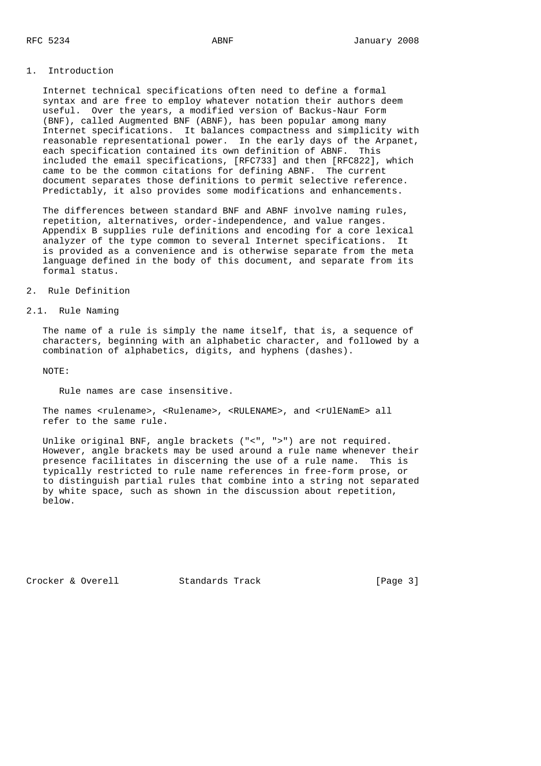### 1. Introduction

 Internet technical specifications often need to define a formal syntax and are free to employ whatever notation their authors deem useful. Over the years, a modified version of Backus-Naur Form (BNF), called Augmented BNF (ABNF), has been popular among many Internet specifications. It balances compactness and simplicity with reasonable representational power. In the early days of the Arpanet, each specification contained its own definition of ABNF. This included the email specifications, [RFC733] and then [RFC822], which came to be the common citations for defining ABNF. The current document separates those definitions to permit selective reference. Predictably, it also provides some modifications and enhancements.

 The differences between standard BNF and ABNF involve naming rules, repetition, alternatives, order-independence, and value ranges. Appendix B supplies rule definitions and encoding for a core lexical analyzer of the type common to several Internet specifications. It is provided as a convenience and is otherwise separate from the meta language defined in the body of this document, and separate from its formal status.

# 2. Rule Definition

# 2.1. Rule Naming

 The name of a rule is simply the name itself, that is, a sequence of characters, beginning with an alphabetic character, and followed by a combination of alphabetics, digits, and hyphens (dashes).

## NOTE:

Rule names are case insensitive.

The names <rulename>, <Rulename>, <RULENAME>, and <rUlENamE> all refer to the same rule.

 Unlike original BNF, angle brackets ("<", ">") are not required. However, angle brackets may be used around a rule name whenever their presence facilitates in discerning the use of a rule name. This is typically restricted to rule name references in free-form prose, or to distinguish partial rules that combine into a string not separated by white space, such as shown in the discussion about repetition, below.

Crocker & Overell Standards Track [Page 3]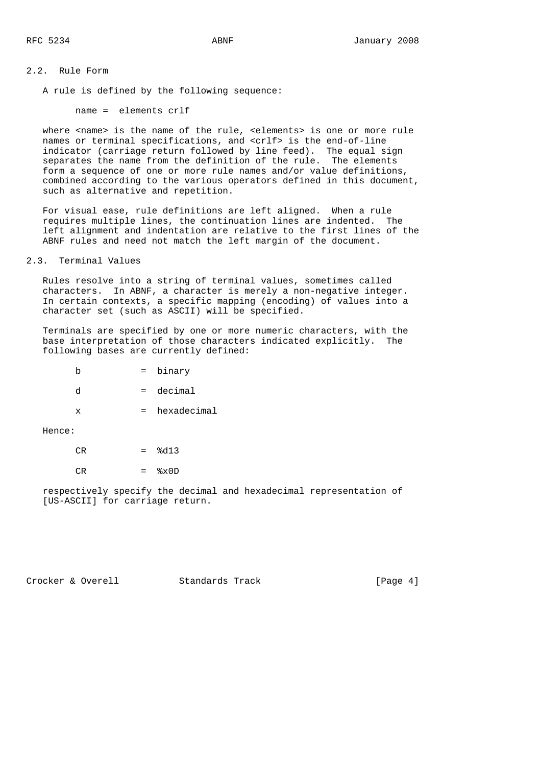# 2.2. Rule Form

A rule is defined by the following sequence:

name = elements crlf

where <name> is the name of the rule, <elements> is one or more rule names or terminal specifications, and <crlf> is the end-of-line indicator (carriage return followed by line feed). The equal sign separates the name from the definition of the rule. The elements form a sequence of one or more rule names and/or value definitions, combined according to the various operators defined in this document, such as alternative and repetition.

 For visual ease, rule definitions are left aligned. When a rule requires multiple lines, the continuation lines are indented. The left alignment and indentation are relative to the first lines of the ABNF rules and need not match the left margin of the document.

## 2.3. Terminal Values

 Rules resolve into a string of terminal values, sometimes called characters. In ABNF, a character is merely a non-negative integer. In certain contexts, a specific mapping (encoding) of values into a character set (such as ASCII) will be specified.

 Terminals are specified by one or more numeric characters, with the base interpretation of those characters indicated explicitly. The following bases are currently defined:

|  | = binary |
|--|----------|
|  |          |

 $d = decimal$ 

x = hexadecimal

Hence:

- $CR =  $\frac{2}{d}3$$
- $CR =  $\&x0D$$

 respectively specify the decimal and hexadecimal representation of [US-ASCII] for carriage return.

Crocker & Overell Standards Track [Page 4]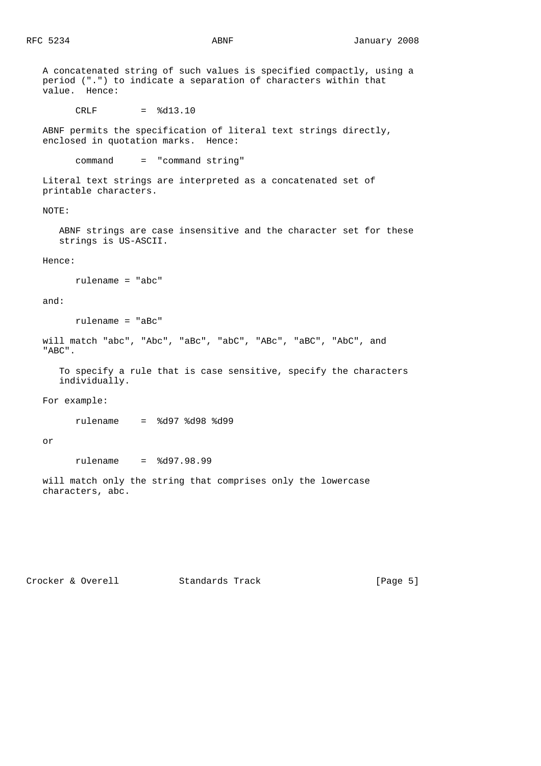A concatenated string of such values is specified compactly, using a period (".") to indicate a separation of characters within that value. Hence:

CRLF = %d13.10

 ABNF permits the specification of literal text strings directly, enclosed in quotation marks. Hence:

command = "command string"

 Literal text strings are interpreted as a concatenated set of printable characters.

NOTE:

 ABNF strings are case insensitive and the character set for these strings is US-ASCII.

Hence:

rulename = "abc"

and:

rulename = "aBc"

 will match "abc", "Abc", "aBc", "abC", "ABc", "aBC", "AbC", and "ABC".

 To specify a rule that is case sensitive, specify the characters individually.

For example:

rulename = %d97 %d98 %d99

or

rulename = %d97.98.99

 will match only the string that comprises only the lowercase characters, abc.

Crocker & Overell Standards Track [Page 5]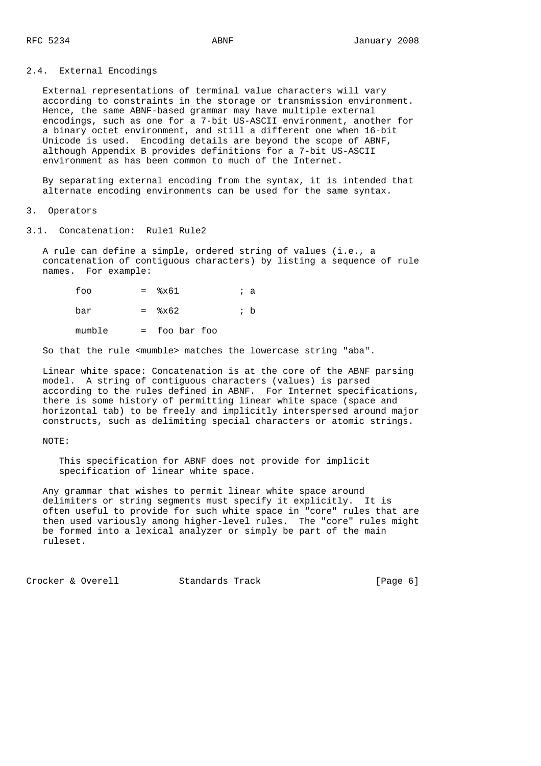2.4. External Encodings

 External representations of terminal value characters will vary according to constraints in the storage or transmission environment. Hence, the same ABNF-based grammar may have multiple external encodings, such as one for a 7-bit US-ASCII environment, another for a binary octet environment, and still a different one when 16-bit Unicode is used. Encoding details are beyond the scope of ABNF, although Appendix B provides definitions for a 7-bit US-ASCII environment as has been common to much of the Internet.

 By separating external encoding from the syntax, it is intended that alternate encoding environments can be used for the same syntax.

### 3. Operators

3.1. Concatenation: Rule1 Rule2

 A rule can define a simple, ordered string of values (i.e., a concatenation of contiguous characters) by listing a sequence of rule names. For example:

foo =  $-x61$  ; a bar = %x62 ; b mumble = foo bar foo

So that the rule <mumble> matches the lowercase string "aba".

 Linear white space: Concatenation is at the core of the ABNF parsing model. A string of contiguous characters (values) is parsed according to the rules defined in ABNF. For Internet specifications, there is some history of permitting linear white space (space and horizontal tab) to be freely and implicitly interspersed around major constructs, such as delimiting special characters or atomic strings.

### NOTE:

 This specification for ABNF does not provide for implicit specification of linear white space.

 Any grammar that wishes to permit linear white space around delimiters or string segments must specify it explicitly. It is often useful to provide for such white space in "core" rules that are then used variously among higher-level rules. The "core" rules might be formed into a lexical analyzer or simply be part of the main ruleset.

Crocker & Overell Standards Track [Page 6]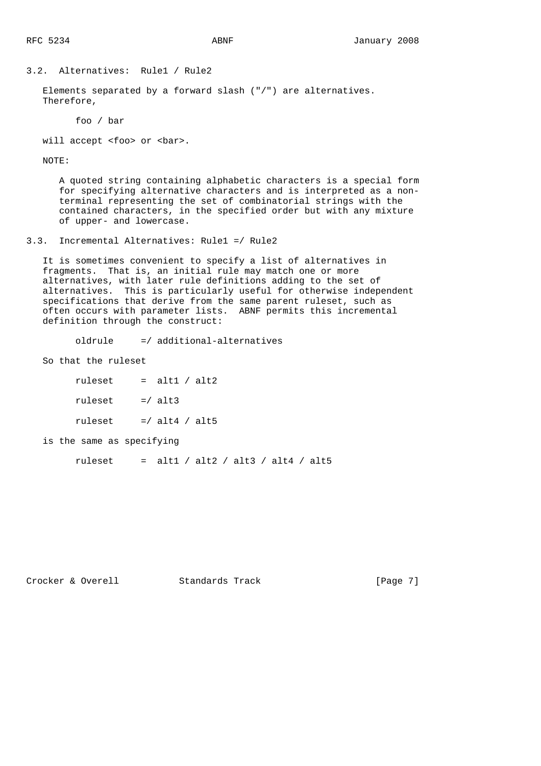## 3.2. Alternatives: Rule1 / Rule2

 Elements separated by a forward slash ("/") are alternatives. Therefore,

foo / bar

will accept <foo> or <br/> <br/>bar>.

NOTE:

 A quoted string containing alphabetic characters is a special form for specifying alternative characters and is interpreted as a non terminal representing the set of combinatorial strings with the contained characters, in the specified order but with any mixture of upper- and lowercase.

3.3. Incremental Alternatives: Rule1 =/ Rule2

 It is sometimes convenient to specify a list of alternatives in fragments. That is, an initial rule may match one or more alternatives, with later rule definitions adding to the set of alternatives. This is particularly useful for otherwise independent specifications that derive from the same parent ruleset, such as often occurs with parameter lists. ABNF permits this incremental definition through the construct:

oldrule =/ additional-alternatives

So that the ruleset

| ruleset                   |            | $=$ alt1 / alt2 |                                      |  |
|---------------------------|------------|-----------------|--------------------------------------|--|
| ruleset                   | $=$ / alt3 |                 |                                      |  |
| ruleset                   |            | =/ alt4 / alt5  |                                      |  |
| is the same as specifying |            |                 |                                      |  |
| ruleset                   |            |                 | $=$ alt1 / alt2 / alt3 / alt4 / alt5 |  |

Crocker & Overell Standards Track [Page 7]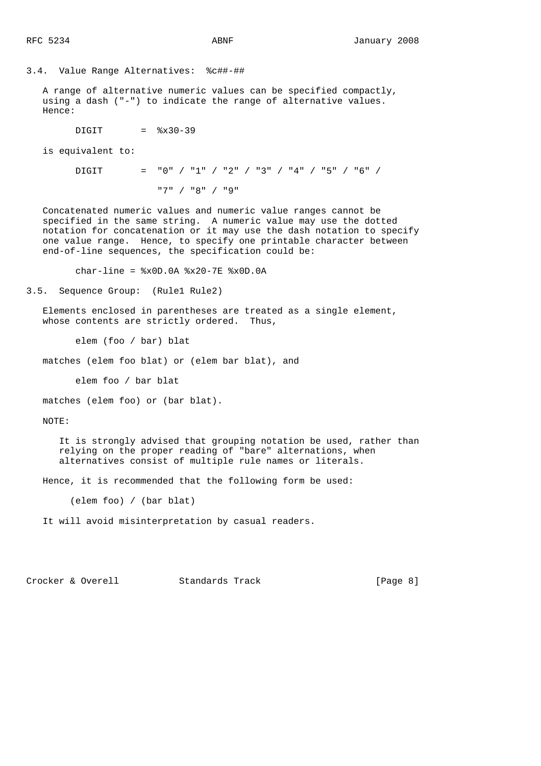### 3.4. Value Range Alternatives: %c##-##

 A range of alternative numeric values can be specified compactly, using a dash ("-") to indicate the range of alternative values. Hence:

 $DIGIT =  $\frac{2}{3}x30-39$$ 

is equivalent to:

DIGIT = "0" / "1" / "2" / "3" / "4" / "5" / "6" /

"7" / "8" / "9"

 Concatenated numeric values and numeric value ranges cannot be specified in the same string. A numeric value may use the dotted notation for concatenation or it may use the dash notation to specify one value range. Hence, to specify one printable character between end-of-line sequences, the specification could be:

char-line =  $x0D.0A$   $x20-7E$   $x0D.0A$ 

3.5. Sequence Group: (Rule1 Rule2)

 Elements enclosed in parentheses are treated as a single element, whose contents are strictly ordered. Thus,

elem (foo / bar) blat

matches (elem foo blat) or (elem bar blat), and

elem foo / bar blat

matches (elem foo) or (bar blat).

NOTE:

 It is strongly advised that grouping notation be used, rather than relying on the proper reading of "bare" alternations, when alternatives consist of multiple rule names or literals.

Hence, it is recommended that the following form be used:

(elem foo) / (bar blat)

It will avoid misinterpretation by casual readers.

Crocker & Overell Standards Track [Page 8]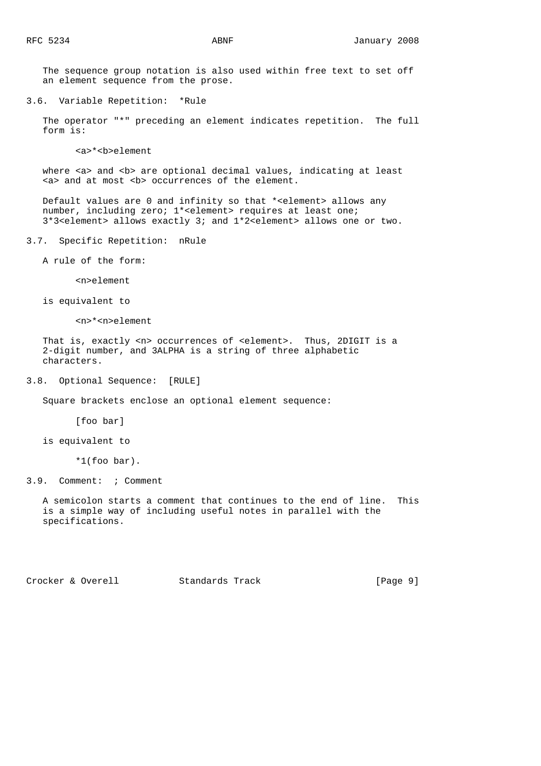The sequence group notation is also used within free text to set off an element sequence from the prose.

3.6. Variable Repetition: \*Rule

 The operator "\*" preceding an element indicates repetition. The full form is:

<a>\*<b>element

where <a> and <b> are optional decimal values, indicating at least <a> and at most <b> occurrences of the element.

Default values are 0 and infinity so that \*<element> allows any number, including zero; 1\*<element> requires at least one; 3\*3<element> allows exactly 3; and 1\*2<element> allows one or two.

3.7. Specific Repetition: nRule

A rule of the form:

<n>element

is equivalent to

<n>\*<n>element

That is, exactly <n> occurrences of <element>. Thus, 2DIGIT is a 2-digit number, and 3ALPHA is a string of three alphabetic characters.

3.8. Optional Sequence: [RULE]

Square brackets enclose an optional element sequence:

[foo bar]

is equivalent to

\*1(foo bar).

3.9. Comment: ; Comment

 A semicolon starts a comment that continues to the end of line. This is a simple way of including useful notes in parallel with the specifications.

Crocker & Overell Standards Track [Page 9]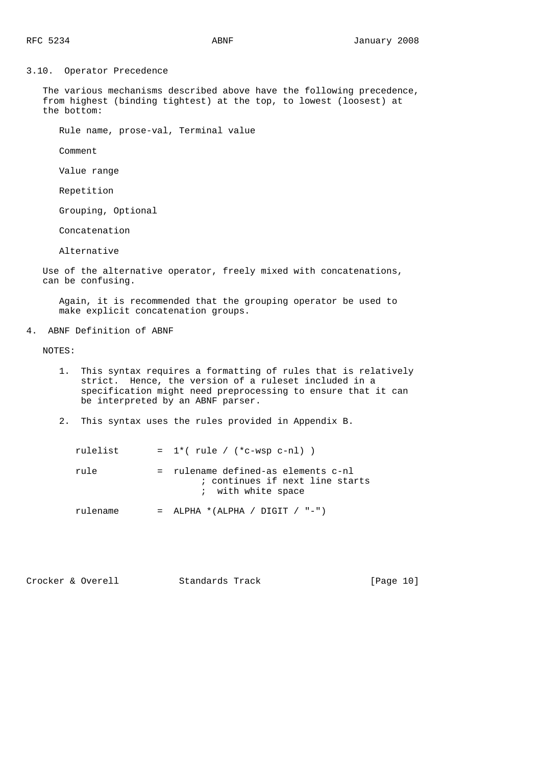3.10. Operator Precedence

 The various mechanisms described above have the following precedence, from highest (binding tightest) at the top, to lowest (loosest) at the bottom:

Rule name, prose-val, Terminal value

Comment

Value range

Repetition

Grouping, Optional

Concatenation

Alternative

 Use of the alternative operator, freely mixed with concatenations, can be confusing.

 Again, it is recommended that the grouping operator be used to make explicit concatenation groups.

4. ABNF Definition of ABNF

NOTES:

- 1. This syntax requires a formatting of rules that is relatively strict. Hence, the version of a ruleset included in a specification might need preprocessing to ensure that it can be interpreted by an ABNF parser.
- 2. This syntax uses the rules provided in Appendix B.

| rulelist | $= 1$ *(rule / (*c-wsp c-nl))                                                                  |
|----------|------------------------------------------------------------------------------------------------|
| rule     | $=$ rulename defined-as elements c-nl<br>; continues if next line starts<br>; with white space |
| rulename | $=$ ALPHA *(ALPHA / DIGIT / "-")                                                               |

Crocker & Overell Standards Track [Page 10]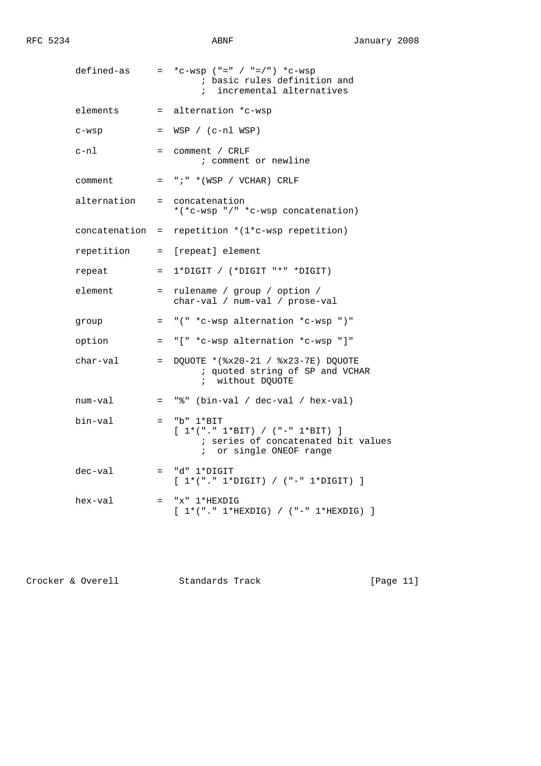| defined-as      |     | $=$ *c-wsp ("=" / "=/") *c-wsp<br>; basic rules definition and<br>incremental alternatives<br>$\ddot{i}$            |
|-----------------|-----|---------------------------------------------------------------------------------------------------------------------|
| elements        |     | = alternation *c-wsp                                                                                                |
| $c$ -w $sp$     |     | $= WSP / (c-n1 WSP)$                                                                                                |
| c-nl            |     | = comment / CRLF<br>; comment or newline                                                                            |
| comment         |     | $= "i" * (WSP / VCHAR) CRIF$                                                                                        |
| alternation     |     | = concatenation<br>*(*c-wsp "/" *c-wsp concatenation)                                                               |
| concatenation = |     | repetition *(1*c-wsp repetition)                                                                                    |
| repetition      |     | = [repeat] element                                                                                                  |
| repeat          | $=$ | 1*DIGIT / (*DIGIT "*" *DIGIT)                                                                                       |
| element         | $=$ | rulename / group / option /<br>char-val / num-val / prose-val                                                       |
| group           |     | = "(" *c-wsp alternation *c-wsp ")"                                                                                 |
| option          |     | = "[" *c-wsp alternation *c-wsp "]"                                                                                 |
| char-val        | $=$ | DQUOTE * (%x20-21 / %x23-7E) DQUOTE<br>; quoted string of SP and VCHAR<br>; without DQUOTE                          |
| num-val         |     | $=$ "%" (bin-val / dec-val / hex-val)                                                                               |
| bin-val         |     | $=$ "b" $1*BIT$<br>$[1*(". 1*BIT) / (-. 1*BIT) ]$<br>; series of concatenated bit values<br>; or single ONEOF range |
| dec-val         |     | $=$ "d" $1*$ DIGIT<br>$[1*(". " 1*DiffIT) / (" - " 1*DiffIT)]$                                                      |
| hex-val         |     | $= "x" 1*HEXDIG$<br>$[1*(". 1*HEXDIG) / (-. . 1*HEXDIG) ]$                                                          |

Crocker & Overell **Standards Track** [Page 11]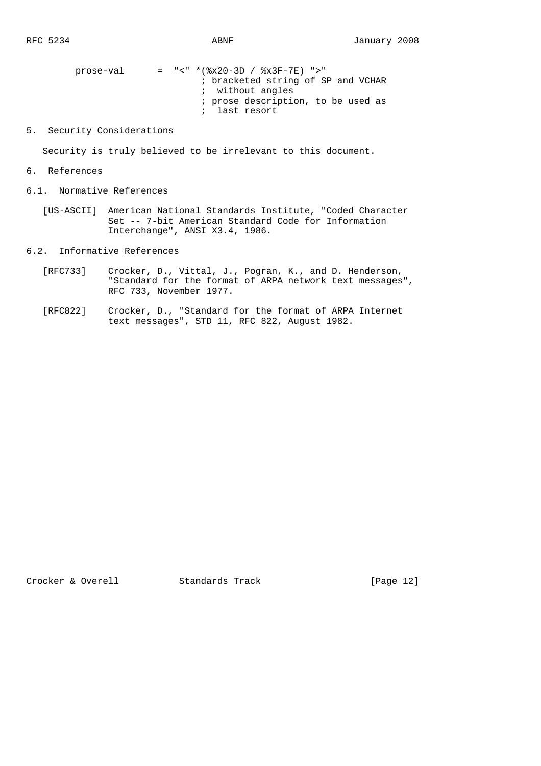prose-val = "<" \*(%x20-3D / %x3F-7E) ">" ; bracketed string of SP and VCHAR ; without angles ; prose description, to be used as ; last resort

## 5. Security Considerations

Security is truly believed to be irrelevant to this document.

- 6. References
- 6.1. Normative References
	- [US-ASCII] American National Standards Institute, "Coded Character Set -- 7-bit American Standard Code for Information Interchange", ANSI X3.4, 1986.
- 6.2. Informative References
	- [RFC733] Crocker, D., Vittal, J., Pogran, K., and D. Henderson, "Standard for the format of ARPA network text messages", RFC 733, November 1977.
	- [RFC822] Crocker, D., "Standard for the format of ARPA Internet text messages", STD 11, RFC 822, August 1982.

Crocker & Overell Standards Track [Page 12]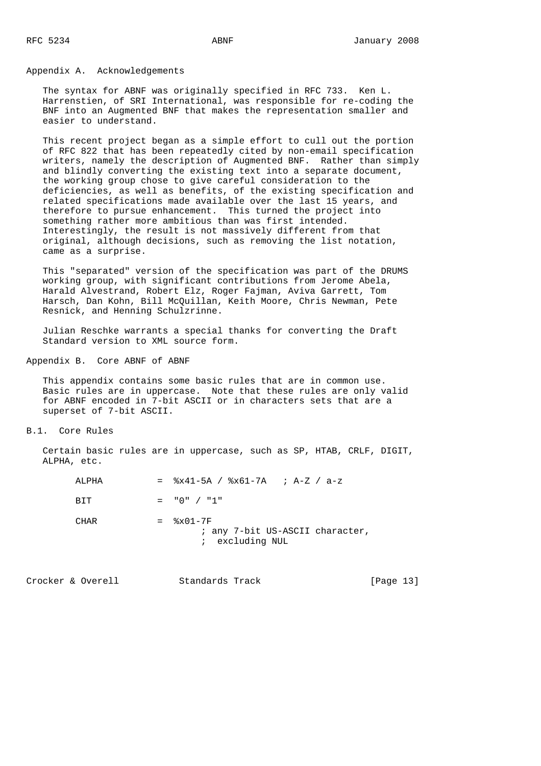Appendix A. Acknowledgements

 The syntax for ABNF was originally specified in RFC 733. Ken L. Harrenstien, of SRI International, was responsible for re-coding the BNF into an Augmented BNF that makes the representation smaller and easier to understand.

 This recent project began as a simple effort to cull out the portion of RFC 822 that has been repeatedly cited by non-email specification writers, namely the description of Augmented BNF. Rather than simply and blindly converting the existing text into a separate document, the working group chose to give careful consideration to the deficiencies, as well as benefits, of the existing specification and related specifications made available over the last 15 years, and therefore to pursue enhancement. This turned the project into something rather more ambitious than was first intended. Interestingly, the result is not massively different from that original, although decisions, such as removing the list notation, came as a surprise.

 This "separated" version of the specification was part of the DRUMS working group, with significant contributions from Jerome Abela, Harald Alvestrand, Robert Elz, Roger Fajman, Aviva Garrett, Tom Harsch, Dan Kohn, Bill McQuillan, Keith Moore, Chris Newman, Pete Resnick, and Henning Schulzrinne.

 Julian Reschke warrants a special thanks for converting the Draft Standard version to XML source form.

Appendix B. Core ABNF of ABNF

 This appendix contains some basic rules that are in common use. Basic rules are in uppercase. Note that these rules are only valid for ABNF encoded in 7-bit ASCII or in characters sets that are a superset of 7-bit ASCII.

B.1. Core Rules

 Certain basic rules are in uppercase, such as SP, HTAB, CRLF, DIGIT, ALPHA, etc.

| ALPHA       | $=$ $8x41-5A$ / $8x61-7A$ ; $A-Z$ / $a-z$                                              |
|-------------|----------------------------------------------------------------------------------------|
| <b>BTT</b>  | $=$ "0" / "1"                                                                          |
| <b>CHAR</b> | $=$ $\frac{8 \times 01 - 7F}{ }$<br>; any 7-bit US-ASCII character,<br>; excluding NUL |

| Crocker & Overell | Standards Track | [Page 13] |
|-------------------|-----------------|-----------|
|-------------------|-----------------|-----------|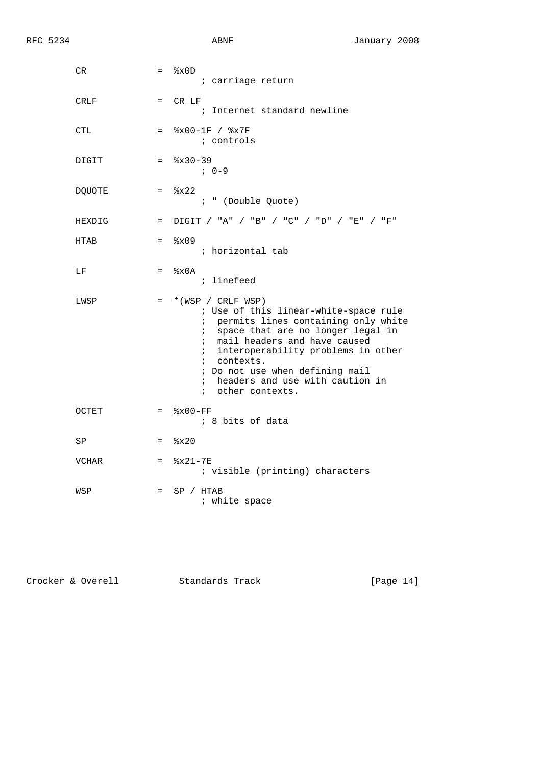| CR     | $=$ $-$ | x0D<br>; carriage return                                                                                                                                                                                                                                                                                                                                     |
|--------|---------|--------------------------------------------------------------------------------------------------------------------------------------------------------------------------------------------------------------------------------------------------------------------------------------------------------------------------------------------------------------|
| CRLF   |         | $=$ CR LF<br>; Internet standard newline                                                                                                                                                                                                                                                                                                                     |
| CTL    |         | $=$ $\frac{8 \times 00 - 1F}{8 \times 7F}$<br>; controls                                                                                                                                                                                                                                                                                                     |
| DIGIT  |         | $=$ $\frac{8x30-39}{ }$<br>$7.0 - 9$                                                                                                                                                                                                                                                                                                                         |
| DQUOTE | $=$     | 8x22<br>; " (Double Quote)                                                                                                                                                                                                                                                                                                                                   |
| HEXDIG | $=$     | DIGIT / "A" / "B" / "C" / "D" / "E" / "F"                                                                                                                                                                                                                                                                                                                    |
| HTAB   | $=$     | x09<br>; horizontal tab                                                                                                                                                                                                                                                                                                                                      |
| LF     | $=$     | x0A<br>; linefeed                                                                                                                                                                                                                                                                                                                                            |
| LWSP   | $=$     | $*(WSP / CRLF WSP)$<br>; Use of this linear-white-space rule<br>permits lines containing only white<br>$\mathbf{i}$<br>; space that are no longer legal in<br>; mail headers and have caused<br>interoperability problems in other<br>$\ddot{i}$<br>; contexts.<br>; Do not use when defining mail<br>; headers and use with caution in<br>; other contexts. |
| OCTET  |         | $=$ $8x00-FF$<br>; 8 bits of data                                                                                                                                                                                                                                                                                                                            |
| SP     | $=$ $-$ | x20                                                                                                                                                                                                                                                                                                                                                          |
| VCHAR  | $=$     | $8x21 - 7E$<br>; visible (printing) characters                                                                                                                                                                                                                                                                                                               |
| WSP    | $=$     | SP / HTAB<br>; white space                                                                                                                                                                                                                                                                                                                                   |

Crocker & Overell Standards Track [Page 14]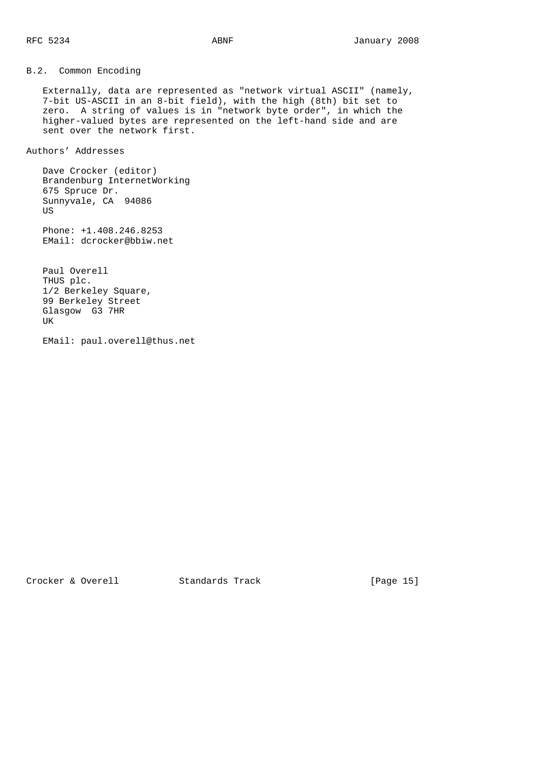B.2. Common Encoding

 Externally, data are represented as "network virtual ASCII" (namely, 7-bit US-ASCII in an 8-bit field), with the high (8th) bit set to zero. A string of values is in "network byte order", in which the higher-valued bytes are represented on the left-hand side and are sent over the network first.

Authors' Addresses

 Dave Crocker (editor) Brandenburg InternetWorking 675 Spruce Dr. Sunnyvale, CA 94086 US Phone: +1.408.246.8253 EMail: dcrocker@bbiw.net Paul Overell THUS plc.

 1/2 Berkeley Square, 99 Berkeley Street Glasgow G3 7HR UK

EMail: paul.overell@thus.net

Crocker & Overell Standards Track [Page 15]